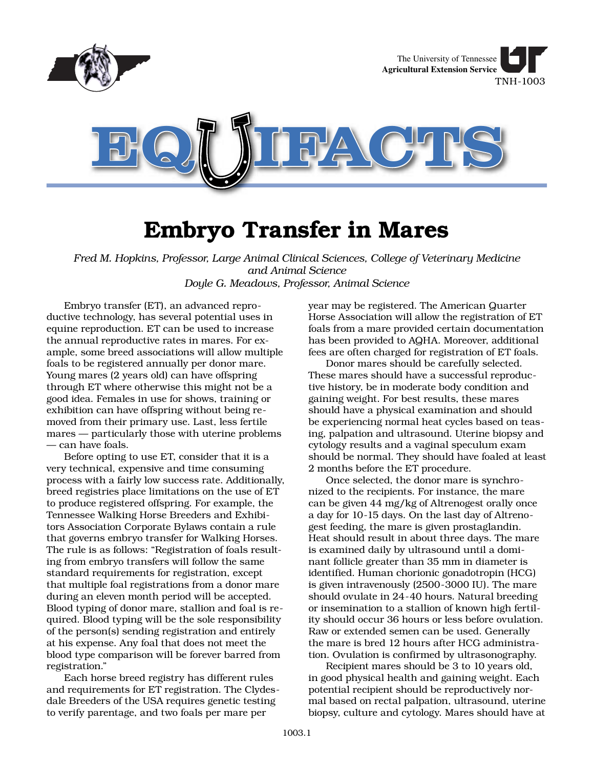

## **Embryo Transfer in Mares**

*Fred M. Hopkins, Professor, Large Animal Clinical Sciences, College of Veterinary Medicine and Animal Science Doyle G. Meadows, Professor, Animal Science*

Embryo transfer (ET), an advanced reproductive technology, has several potential uses in equine reproduction. ET can be used to increase the annual reproductive rates in mares. For example, some breed associations will allow multiple foals to be registered annually per donor mare. Young mares (2 years old) can have offspring through ET where otherwise this might not be a good idea. Females in use for shows, training or exhibition can have offspring without being removed from their primary use. Last, less fertile mares — particularly those with uterine problems — can have foals.

Before opting to use ET, consider that it is a very technical, expensive and time consuming process with a fairly low success rate. Additionally, breed registries place limitations on the use of ET to produce registered offspring. For example, the Tennessee Walking Horse Breeders and Exhibitors Association Corporate Bylaws contain a rule that governs embryo transfer for Walking Horses. The rule is as follows: "Registration of foals resulting from embryo transfers will follow the same standard requirements for registration, except that multiple foal registrations from a donor mare during an eleven month period will be accepted. Blood typing of donor mare, stallion and foal is required. Blood typing will be the sole responsibility of the person(s) sending registration and entirely at his expense. Any foal that does not meet the blood type comparison will be forever barred from registration."

Each horse breed registry has different rules and requirements for ET registration. The Clydesdale Breeders of the USA requires genetic testing to verify parentage, and two foals per mare per

year may be registered. The American Quarter Horse Association will allow the registration of ET foals from a mare provided certain documentation has been provided to AQHA. Moreover, additional fees are often charged for registration of ET foals.

Donor mares should be carefully selected. These mares should have a successful reproductive history, be in moderate body condition and gaining weight. For best results, these mares should have a physical examination and should be experiencing normal heat cycles based on teasing, palpation and ultrasound. Uterine biopsy and cytology results and a vaginal speculum exam should be normal. They should have foaled at least 2 months before the ET procedure.

Once selected, the donor mare is synchronized to the recipients. For instance, the mare can be given 44 mg/kg of Altrenogest orally once a day for 10-15 days. On the last day of Altrenogest feeding, the mare is given prostaglandin. Heat should result in about three days. The mare is examined daily by ultrasound until a dominant follicle greater than 35 mm in diameter is identified. Human chorionic gonadotropin (HCG) is given intravenously (2500-3000 IU). The mare should ovulate in 24-40 hours. Natural breeding or insemination to a stallion of known high fertility should occur 36 hours or less before ovulation. Raw or extended semen can be used. Generally the mare is bred 12 hours after HCG administration. Ovulation is confirmed by ultrasonography.

Recipient mares should be 3 to 10 years old, in good physical health and gaining weight. Each potential recipient should be reproductively normal based on rectal palpation, ultrasound, uterine biopsy, culture and cytology. Mares should have at